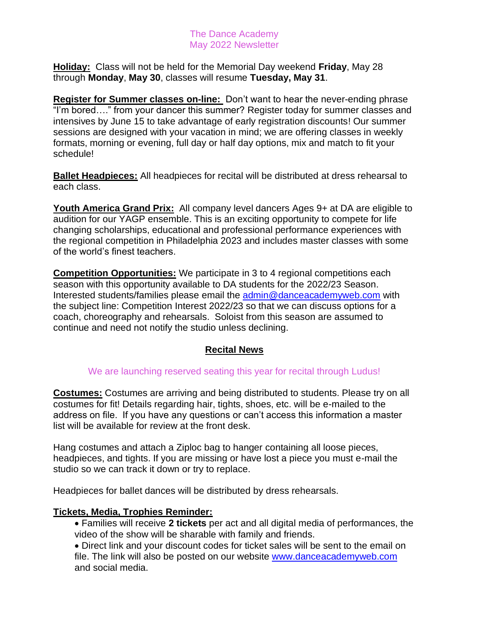## The Dance Academy May 2022 Newsletter

**Holiday:** Class will not be held for the Memorial Day weekend **Friday**, May 28 through **Monday**, **May 30**, classes will resume **Tuesday, May 31**.

**Register for Summer classes on-line:** Don't want to hear the never-ending phrase "I'm bored…." from your dancer this summer? Register today for summer classes and intensives by June 15 to take advantage of early registration discounts! Our summer sessions are designed with your vacation in mind; we are offering classes in weekly formats, morning or evening, full day or half day options, mix and match to fit your schedule!

**Ballet Headpieces:** All headpieces for recital will be distributed at dress rehearsal to each class.

**Youth America Grand Prix:** All company level dancers Ages 9+ at DA are eligible to audition for our YAGP ensemble. This is an exciting opportunity to compete for life changing scholarships, educational and professional performance experiences with the regional competition in Philadelphia 2023 and includes master classes with some of the world's finest teachers.

**Competition Opportunities:** We participate in 3 to 4 regional competitions each season with this opportunity available to DA students for the 2022/23 Season. Interested students/families please email the [admin@danceacademyweb.com](mailto:admin@danceacademyweb.com) with the subject line: Competition Interest 2022/23 so that we can discuss options for a coach, choreography and rehearsals. Soloist from this season are assumed to continue and need not notify the studio unless declining.

# **Recital News**

## We are launching reserved seating this year for recital through Ludus!

**Costumes:** Costumes are arriving and being distributed to students. Please try on all costumes for fit! Details regarding hair, tights, shoes, etc. will be e-mailed to the address on file. If you have any questions or can't access this information a master list will be available for review at the front desk.

Hang costumes and attach a Ziploc bag to hanger containing all loose pieces, headpieces, and tights. If you are missing or have lost a piece you must e-mail the studio so we can track it down or try to replace.

Headpieces for ballet dances will be distributed by dress rehearsals.

## **Tickets, Media, Trophies Reminder:**

• Families will receive **2 tickets** per act and all digital media of performances, the video of the show will be sharable with family and friends.

• Direct link and your discount codes for ticket sales will be sent to the email on file. The link will also be posted on our website [www.danceacademyweb.com](http://www.danceacademyweb.com/) and social media.